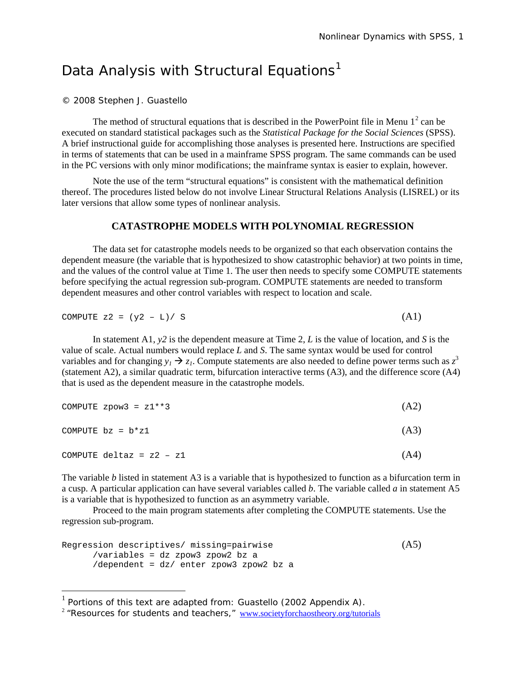# Data Analysis with Structural Equations<sup>[1](#page-0-0)</sup>

#### © 2008 Stephen J. Guastello

The method of structural equations that is described in the PowerPoint file in Menu  $1^2$  $1^2$  can be executed on standard statistical packages such as the *Statistical Package for the Social Sciences* (SPSS). A brief instructional guide for accomplishing those analyses is presented here. Instructions are specified in terms of statements that can be used in a mainframe SPSS program. The same commands can be used in the PC versions with only minor modifications; the mainframe syntax is easier to explain, however.

Note the use of the term "structural equations" is consistent with the mathematical definition thereof. The procedures listed below do not involve Linear Structural Relations Analysis (LISREL) or its later versions that allow some types of nonlinear analysis.

#### **CATASTROPHE MODELS WITH POLYNOMIAL REGRESSION**

The data set for catastrophe models needs to be organized so that each observation contains the dependent measure (the variable that is hypothesized to show catastrophic behavior) at two points in time, and the values of the control value at Time 1. The user then needs to specify some COMPUTE statements before specifying the actual regression sub-program. COMPUTE statements are needed to transform dependent measures and other control variables with respect to location and scale.

COMPUTE z2 = 
$$
(y2 - L)/S
$$
 (A1)

In statement A1, *y2* is the dependent measure at Time 2, *L* is the value of location, and *S* is the value of scale. Actual numbers would replace *L* and *S*. The same syntax would be used for control variables and for changing  $y_1 \rightarrow z_1$ . Compute statements are also needed to define power terms such as  $z^3$ (statement A2), a similar quadratic term, bifurcation interactive terms (A3), and the difference score (A4) that is used as the dependent measure in the catastrophe models.

| COMPUTE $zpow3 = z1**3$        | (A2) |
|--------------------------------|------|
| COMPUTE $bz = b*z1$            | (A3) |
| COMPUTE deltaz = $z^2$ - $z^1$ | (A4) |

The variable *b* listed in statement A3 is a variable that is hypothesized to function as a bifurcation term in a cusp. A particular application can have several variables called *b*. The variable called *a* in statement A5 is a variable that is hypothesized to function as an asymmetry variable.

 Proceed to the main program statements after completing the COMPUTE statements. Use the regression sub-program.

```
Regression descriptives/ missing=pairwise (A5)
      /variables = dz zpow3 zpow2 bz a 
      /dependent = dz/ enter zpow3 zpow2 bz a
```
 $\overline{a}$ 

<span id="page-0-0"></span> $1$  Portions of this text are adapted from: Guastello (2002 Appendix A).

<span id="page-0-1"></span> $2$  "Resources for students and teachers," www.societyforchaostheory.org/tutorials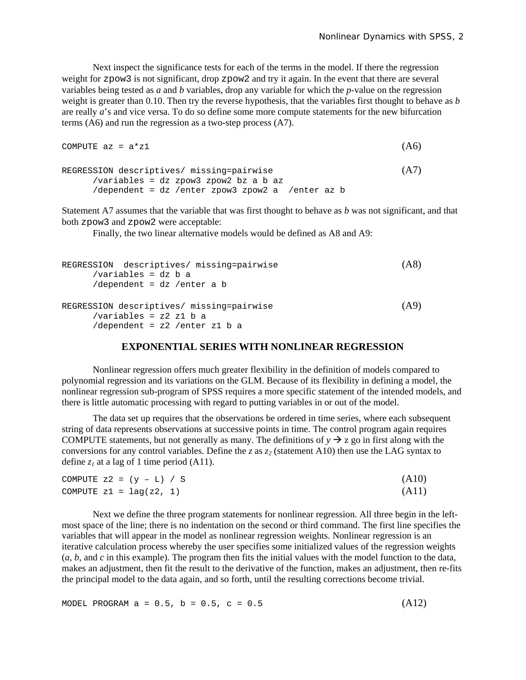Next inspect the significance tests for each of the terms in the model. If there the regression weight for zpow3 is not significant, drop zpow2 and try it again. In the event that there are several variables being tested as *a* and *b* variables, drop any variable for which the *p*-value on the regression weight is greater than 0.10. Then try the reverse hypothesis, that the variables first thought to behave as *b* are really *a*'s and vice versa. To do so define some more compute statements for the new bifurcation terms (A6) and run the regression as a two-step process (A7).

```
COMPUTE az = a * z1 (A6)
REGRESSION descriptives/ missing=pairwise (A7)
     /variables = dz zpow3 zpow2 bz a b az 
     /dependent = dz /enter zpow3 zpow2 a /enter az b
```
Statement A7 assumes that the variable that was first thought to behave as *b* was not significant, and that both zpow3 and zpow2 were acceptable:

Finally, the two linear alternative models would be defined as A8 and A9:

```
REGRESSION descriptives/ missing=pairwise (A8)
      /variables = dz b a 
      /dependent = dz /enter a b 
REGRESSION descriptives/ missing=pairwise (A9)
      /variables = z2 z1 b a 
      /dependent = z2 /enter z1 b a
```
### **EXPONENTIAL SERIES WITH NONLINEAR REGRESSION**

Nonlinear regression offers much greater flexibility in the definition of models compared to polynomial regression and its variations on the GLM. Because of its flexibility in defining a model, the nonlinear regression sub-program of SPSS requires a more specific statement of the intended models, and there is little automatic processing with regard to putting variables in or out of the model.

 The data set up requires that the observations be ordered in time series, where each subsequent string of data represents observations at successive points in time. The control program again requires COMPUTE statements, but not generally as many. The definitions of  $y \rightarrow z$  go in first along with the conversions for any control variables. Define the *z* as  $z_2$  (statement A10) then use the LAG syntax to define  $z_1$  at a lag of 1 time period (A11).

|  | COMPUTE $z2 = (y - L) / S$       |  | (A10) |
|--|----------------------------------|--|-------|
|  | COMPUTE $z1 = \text{lag}(z2, 1)$ |  | (A11) |

Next we define the three program statements for nonlinear regression. All three begin in the leftmost space of the line; there is no indentation on the second or third command. The first line specifies the variables that will appear in the model as nonlinear regression weights. Nonlinear regression is an iterative calculation process whereby the user specifies some initialized values of the regression weights (*a, b*, and *c* in this example). The program then fits the initial values with the model function to the data, makes an adjustment, then fit the result to the derivative of the function, makes an adjustment, then re-fits the principal model to the data again, and so forth, until the resulting corrections become trivial.

MODEL PROGRAM  $a = 0.5$ ,  $b = 0.5$ ,  $c = 0.5$  (A12)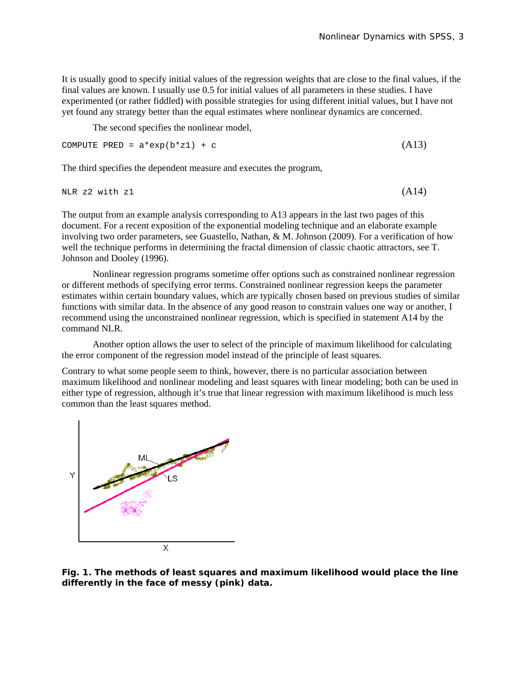It is usually good to specify initial values of the regression weights that are close to the final values, if the final values are known. I usually use 0.5 for initial values of all parameters in these studies. I have experimented (or rather fiddled) with possible strategies for using different initial values, but I have not yet found any strategy better than the equal estimates where nonlinear dynamics are concerned.

The second specifies the nonlinear model,

COMPUTE PRED = 
$$
a^*exp(b^*z1) + c
$$
 (A13)

The third specifies the dependent measure and executes the program,

NLR z2 with z1  $(A14)$ 

The output from an example analysis corresponding to A13 appears in the last two pages of this document. For a recent exposition of the exponential modeling technique and an elaborate example involving two order parameters, see Guastello, Nathan, & M. Johnson (2009). For a verification of how well the technique performs in determining the fractal dimension of classic chaotic attractors, see T. Johnson and Dooley (1996).

Nonlinear regression programs sometime offer options such as constrained nonlinear regression or different methods of specifying error terms. Constrained nonlinear regression keeps the parameter estimates within certain boundary values, which are typically chosen based on previous studies of similar functions with similar data. In the absence of any good reason to constrain values one way or another, I recommend using the unconstrained nonlinear regression, which is specified in statement A14 by the command NLR.

Another option allows the user to select of the principle of maximum likelihood for calculating the error component of the regression model instead of the principle of least squares.

Contrary to what some people seem to think, however, there is no particular association between maximum likelihood and nonlinear modeling and least squares with linear modeling; both can be used in either type of regression, although it's true that linear regression with maximum likelihood is much less common than the least squares method.



*Fig. 1. The methods of least squares and maximum likelihood would place the line differently in the face of messy (pink) data.*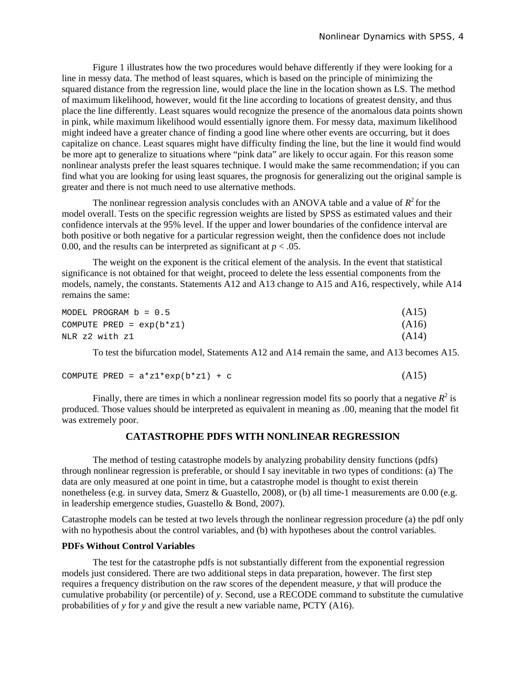Figure 1 illustrates how the two procedures would behave differently if they were looking for a line in messy data. The method of least squares, which is based on the principle of minimizing the squared distance from the regression line, would place the line in the location shown as LS. The method of maximum likelihood, however, would fit the line according to locations of greatest density, and thus place the line differently. Least squares would recognize the presence of the anomalous data points shown in pink, while maximum likelihood would essentially ignore them. For messy data, maximum likelihood might indeed have a greater chance of finding a good line where other events are occurring, but it does capitalize on chance. Least squares might have difficulty finding the line, but the line it would find would be more apt to generalize to situations where "pink data" are likely to occur again. For this reason some nonlinear analysts prefer the least squares technique. I would make the same recommendation; if you can find what you are looking for using least squares, the prognosis for generalizing out the original sample is greater and there is not much need to use alternative methods.

The nonlinear regression analysis concludes with an ANOVA table and a value of  $R^2$  for the model overall. Tests on the specific regression weights are listed by SPSS as estimated values and their confidence intervals at the 95% level. If the upper and lower boundaries of the confidence interval are both positive or both negative for a particular regression weight, then the confidence does not include 0.00, and the results can be interpreted as significant at  $p < .05$ .

The weight on the exponent is the critical element of the analysis. In the event that statistical significance is not obtained for that weight, proceed to delete the less essential components from the models, namely, the constants. Statements A12 and A13 change to A15 and A16, respectively, while A14 remains the same:

| MODEL PROGRAM $b = 0.5$    | (A15) |
|----------------------------|-------|
| COMPUTE PRED = $exp(b*z1)$ | (A16) |
| NLR z2 with z1             | (A14) |

To test the bifurcation model, Statements A12 and A14 remain the same, and A13 becomes A15.

```
COMPUTE PRED = a * z1 * exp(b * z1) + c (A15)
```
Finally, there are times in which a nonlinear regression model fits so poorly that a negative  $R^2$  is produced. Those values should be interpreted as equivalent in meaning as .00, meaning that the model fit was extremely poor.

## **CATASTROPHE PDFS WITH NONLINEAR REGRESSION**

The method of testing catastrophe models by analyzing probability density functions (pdfs) through nonlinear regression is preferable, or should I say inevitable in two types of conditions: (a) The data are only measured at one point in time, but a catastrophe model is thought to exist therein nonetheless (e.g. in survey data, Smerz & Guastello, 2008), or (b) all time-1 measurements are 0.00 (e.g. in leadership emergence studies, Guastello & Bond, 2007).

Catastrophe models can be tested at two levels through the nonlinear regression procedure (a) the pdf only with no hypothesis about the control variables, and (b) with hypotheses about the control variables.

### **PDFs Without Control Variables**

The test for the catastrophe pdfs is not substantially different from the exponential regression models just considered. There are two additional steps in data preparation, however. The first step requires a frequency distribution on the raw scores of the dependent measure, *y* that will produce the cumulative probability (or percentile) of *y*. Second, use a RECODE command to substitute the cumulative probabilities of *y* for *y* and give the result a new variable name, PCTY (A16).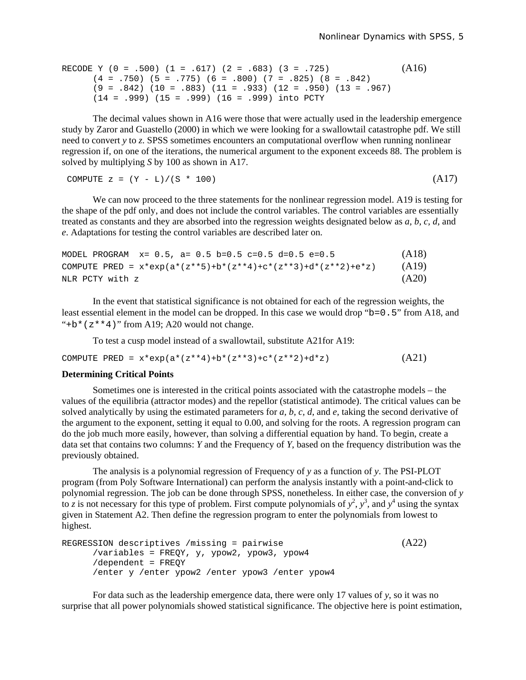RECODE Y  $(0 = .500)$   $(1 = .617)$   $(2 = .683)$   $(3 = .725)$   $(A16)$  $(4 = .750)$   $(5 = .775)$   $(6 = .800)$   $(7 = .825)$   $(8 = .842)$  $(9 = .842)$   $(10 = .883)$   $(11 = .933)$   $(12 = .950)$   $(13 = .967)$  $(14 = .999)$   $(15 = .999)$   $(16 = .999)$  into PCTY

The decimal values shown in A16 were those that were actually used in the leadership emergence study by Zaror and Guastello (2000) in which we were looking for a swallowtail catastrophe pdf. We still need to convert *y* to *z*. SPSS sometimes encounters an computational overflow when running nonlinear regression if, on one of the iterations, the numerical argument to the exponent exceeds 88. The problem is solved by multiplying *S* by 100 as shown in A17.

COMPUTE  $z = (Y - L)/(S * 100)$  (A17)

We can now proceed to the three statements for the nonlinear regression model. A19 is testing for the shape of the pdf only, and does not include the control variables. The control variables are essentially treated as constants and they are absorbed into the regression weights designated below as *a, b, c, d*, and *e*. Adaptations for testing the control variables are described later on.

```
MODEL PROGRAM x= 0.5, a= 0.5 b=0.5 c=0.5 d=0.5 e=0.5 (A18)
COMPUTE PRED = x*exp(a*(z**5)+b*(z**4)+c*(z**3)+d*(z**2)+e*z) (A19)
NLR PCTY with z (A20)
```
In the event that statistical significance is not obtained for each of the regression weights, the least essential element in the model can be dropped. In this case we would drop "b=0.5" from A18, and "+b\* ( $z$ \*\*4)" from A19; A20 would not change.

To test a cusp model instead of a swallowtail, substitute A21for A19:

COMPUTE PRED =  $x*exp(a*(z**4)+b*(z**3)+c*(z**2)+d*z)$  (A21)

#### **Determining Critical Points**

 Sometimes one is interested in the critical points associated with the catastrophe models – the values of the equilibria (attractor modes) and the repellor (statistical antimode). The critical values can be solved analytically by using the estimated parameters for *a, b, c, d*, and *e,* taking the second derivative of the argument to the exponent, setting it equal to 0.00, and solving for the roots. A regression program can do the job much more easily, however, than solving a differential equation by hand. To begin, create a data set that contains two columns: *Y* and the Frequency of *Y*, based on the frequency distribution was the previously obtained.

The analysis is a polynomial regression of Frequency of *y* as a function of *y*. The PSI-PLOT program (from Poly Software International) can perform the analysis instantly with a point-and-click to polynomial regression. The job can be done through SPSS, nonetheless. In either case, the conversion of *y* to *z* is not necessary for this type of problem. First compute polynomials of  $y^2$ ,  $y^3$ , and  $y^4$  using the syntax given in Statement A2. Then define the regression program to enter the polynomials from lowest to highest.

```
REGRESSION descriptives /missing = pairwise (A22) /variables = FREQY, y, ypow2, ypow3, ypow4 
      /dependent = FREQY 
     /enter y /enter ypow2 /enter ypow3 /enter ypow4
```
For data such as the leadership emergence data, there were only 17 values of *y*, so it was no surprise that all power polynomials showed statistical significance. The objective here is point estimation,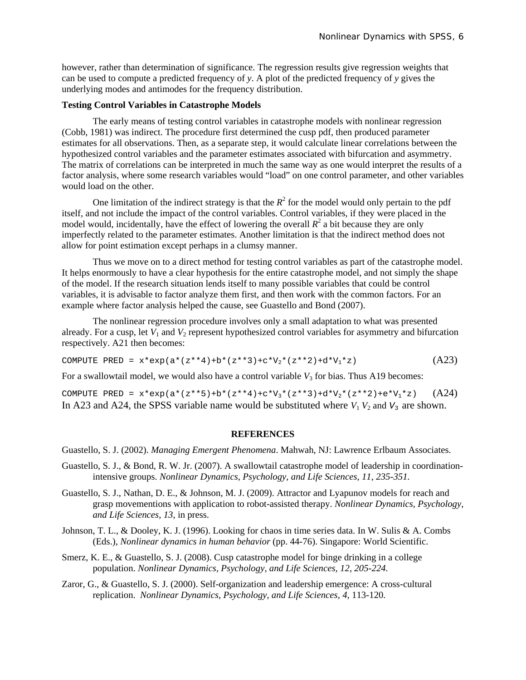however, rather than determination of significance. The regression results give regression weights that can be used to compute a predicted frequency of *y*. A plot of the predicted frequency of *y* gives the underlying modes and antimodes for the frequency distribution.

#### **Testing Control Variables in Catastrophe Models**

 The early means of testing control variables in catastrophe models with nonlinear regression (Cobb, 1981) was indirect. The procedure first determined the cusp pdf, then produced parameter estimates for all observations. Then, as a separate step, it would calculate linear correlations between the hypothesized control variables and the parameter estimates associated with bifurcation and asymmetry. The matrix of correlations can be interpreted in much the same way as one would interpret the results of a factor analysis, where some research variables would "load" on one control parameter, and other variables would load on the other.

One limitation of the indirect strategy is that the  $R^2$  for the model would only pertain to the pdf itself, and not include the impact of the control variables. Control variables, if they were placed in the model would, incidentally, have the effect of lowering the overall  $R^2$  a bit because they are only imperfectly related to the parameter estimates. Another limitation is that the indirect method does not allow for point estimation except perhaps in a clumsy manner.

Thus we move on to a direct method for testing control variables as part of the catastrophe model. It helps enormously to have a clear hypothesis for the entire catastrophe model, and not simply the shape of the model. If the research situation lends itself to many possible variables that could be control variables, it is advisable to factor analyze them first, and then work with the common factors. For an example where factor analysis helped the cause, see Guastello and Bond (2007).

The nonlinear regression procedure involves only a small adaptation to what was presented already. For a cusp, let  $V_1$  and  $V_2$  represent hypothesized control variables for asymmetry and bifurcation respectively. A21 then becomes:

COMPUTE PRED =  $x^*$ exp( $a^*(z^{**}4)$ +b\*( $z^{**}3$ )+c\*V<sub>2</sub>\*( $z^{**}2$ )+d\*V<sub>1</sub>\*z) (A23)

For a swallowtail model, we would also have a control variable  $V_3$  for bias. Thus A19 becomes:

COMPUTE PRED =  $x*exp(a*(z**5)+b*(z**4)+c*y_*(z**3)+d*y_*(z**2)+e*y_1*z)$  (A24) In A23 and A24, the SPSS variable name would be substituted where  $V_1 V_2$  and  $V_3$  are shown.

#### **REFERENCES**

- Guastello, S. J. (2002). *Managing Emergent Phenomena*. Mahwah, NJ: Lawrence Erlbaum Associates.
- Guastello, S. J., & Bond, R. W. Jr. (2007). A swallowtail catastrophe model of leadership in coordinationintensive groups. *Nonlinear Dynamics, Psychology, and Life Sciences, 11, 235-351.*
- Guastello, S. J., Nathan, D. E., & Johnson, M. J. (2009). Attractor and Lyapunov models for reach and grasp movementions with application to robot-assisted therapy. *Nonlinear Dynamics, Psychology, and Life Sciences, 13*, in press.
- Johnson, T. L., & Dooley, K. J. (1996). Looking for chaos in time series data. In W. Sulis & A. Combs (Eds.), *Nonlinear dynamics in human behavior* (pp. 44-76). Singapore: World Scientific.
- Smerz, K. E., & Guastello, S. J. (2008). Cusp catastrophe model for binge drinking in a college population. *Nonlinear Dynamics, Psychology, and Life Sciences, 12, 205-224.*
- Zaror, G., & Guastello, S. J. (2000). Self-organization and leadership emergence: A cross-cultural replication. *Nonlinear Dynamics, Psychology, and Life Sciences, 4,* 113-120*.*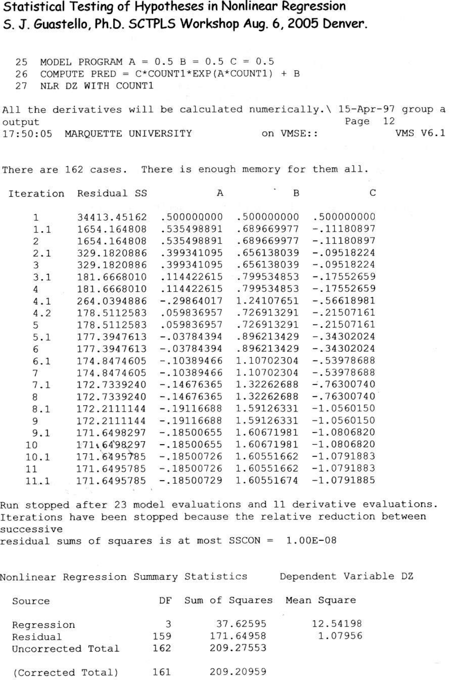# Statistical Testing of Hypotheses in Nonlinear Regression S. J. Guastello, Ph.D. SCTPLS Workshop Aug. 6, 2005 Denver.

```
MODEL PROGRAM A = 0.5 B = 0.5 C = 0.525
      COMPUTE PRED = C*COUNT1*EXP(A*COUNT1) + B26
  27
      NLR DZ WITH COUNT1
All the derivatives will be calculated numerically.\ 15-Apr-97 group a
output
                                                        Page
                                                              12
17:50:05
          MARQUETTE UNIVERSITY
                                         on VMSE::
                                                                VMS V6.1
There are 162 cases. There is enough memory for them all.
           Residual SS
                                   \overline{A}\overline{B}\overline{C}Iteration
                          .500000000
                                      .500000000
                                                  .500000000
            34413.45162
     1
     1.1.535498891
                                      .689669977
                                                  -.111808971654.164808
                          .535498891
                                     .689669977
                                                  -.11180897\overline{c}1654.164808
     2.1.399341095 .656138039
                                                  -.09518224329.1820886
            329.1820886
                          .399341095 .656138039
                                                  -.095182243
     3.1181.6668010
                          .114422615 .799534853
                                                  -.17552659181.6668010
                          .114422615
                                      .799534853
                                                  -.17552659\overline{4}-.29864017 1.24107651
                                                  -.566189814.1264.0394886
                                     .726913291
     4.2178.5112583
                          .059836957
                                                  -.215071615
            178.5112583
                          .059836957.726913291
                                                  -.21507161-.343020245.1177.3947613
                         -.03784394...896213429-.34302024177.3947613
                         -.03784394...8962134296
     6.1174.8474605
                         -.10389466 1.10702304
                                                  -.53978688-.539786887\phantom{.0}174.8474605
                         -.103894661.10702304
                                      1.32262688
                                                  -.763007407.1172.7339240
                         -.14676365-.14676365 1.32262688
     8
            172.7339240
                                                  -.76300740-.191166881.59126331
                                                  -1.05601508.1
            172.2111144
                         -.19116688 1.59126331
                                                  -1.05601509
            172.2111144
                         -.18500655 1.60671981
                                                  -1.08068209.1171.6498297
   10
            171,6498297
                         -.185006551.60671981
                                                  -1.0806820-.18500726 1.60551662
   10.1
            171.6495785
                                                  -1.0791883-1.079188311
            171.6495785
                         -.185007261.60551662
   11.1171.6495785
                         -.185007291.60551674
                                                  -1.0791885Run stopped after 23 model evaluations and 11 derivative evaluations.
Iterations have been stopped because the relative reduction between
successive
```
residual sums of squares is at most SSCON = 1.00E-08

Nonlinear Regression Summary Statistics Dependent Variable DZ

| Source            | DF  | Sum of Squares Mean Square |          |
|-------------------|-----|----------------------------|----------|
| Regression        | 3   | 37.62595                   | 12.54198 |
| Residual          | 159 | 171.64958                  | 1.07956  |
| Uncorrected Total | 162 | 209.27553                  |          |
| (Corrected Total) | 161 | 209.20959                  |          |